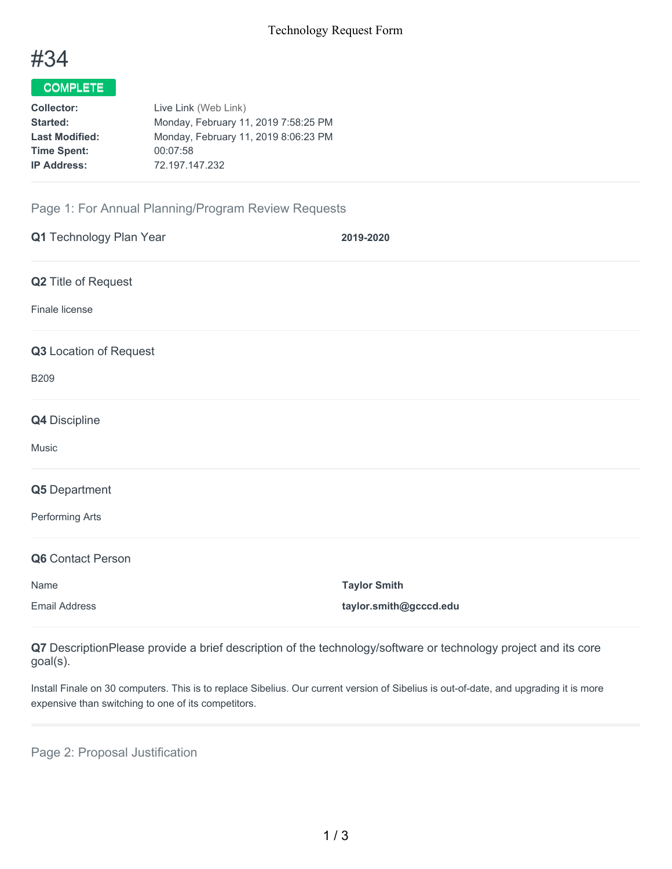

# COMPLETE

| <b>Collector:</b>     | Live Link (Web Link)                 |
|-----------------------|--------------------------------------|
| Started:              | Monday, February 11, 2019 7:58:25 PM |
| <b>Last Modified:</b> | Monday, February 11, 2019 8:06:23 PM |
| <b>Time Spent:</b>    | 00:07:58                             |
| <b>IP Address:</b>    | 72.197.147.232                       |
|                       |                                      |

## Page 1: For Annual Planning/Program Review Requests

| Q1 Technology Plan Year | 2019-2020              |
|-------------------------|------------------------|
| Q2 Title of Request     |                        |
| Finale license          |                        |
| Q3 Location of Request  |                        |
| <b>B209</b>             |                        |
| <b>Q4</b> Discipline    |                        |
| Music                   |                        |
| Q5 Department           |                        |
| Performing Arts         |                        |
| Q6 Contact Person       |                        |
| Name                    | <b>Taylor Smith</b>    |
| <b>Email Address</b>    | taylor.smith@gcccd.edu |

**Q7** DescriptionPlease provide a brief description of the technology/software or technology project and its core goal(s).

Install Finale on 30 computers. This is to replace Sibelius. Our current version of Sibelius is out-of-date, and upgrading it is more expensive than switching to one of its competitors.

Page 2: Proposal Justification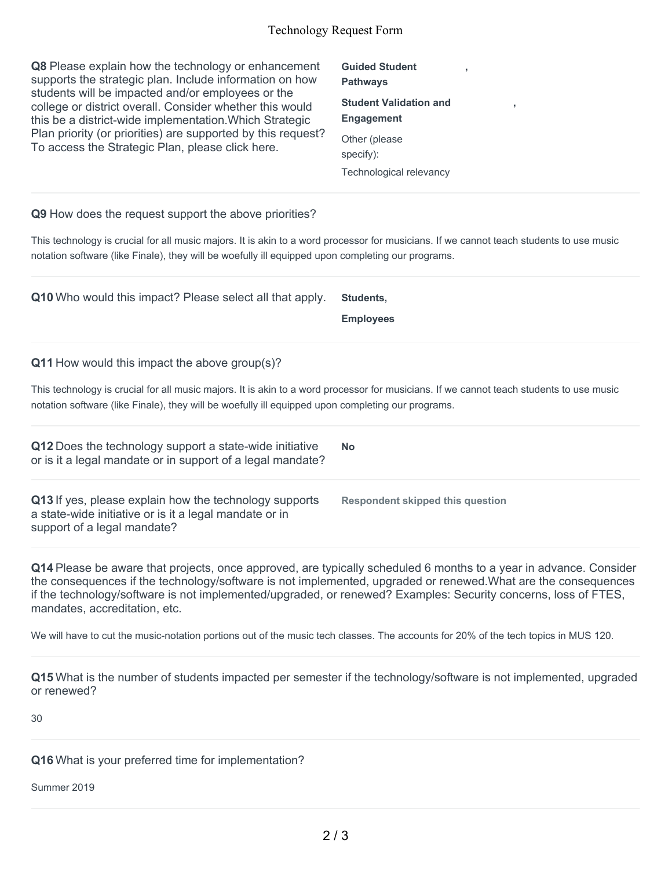#### Technology Request Form

**Q8** Please explain how the technology or enhancement supports the strategic plan. Include information on how students will be impacted and/or employees or the college or district overall. Consider whether this would this be a district-wide implementation.Which Strategic Plan priority (or priorities) are supported by this request? To access the Strategic Plan, please click here.

**Guided Student Pathways Student Validation and Engagement** Other (please specify): Technological relevancy

**,**

**,**

#### **Q9** How does the request support the above priorities?

This technology is crucial for all music majors. It is akin to a word processor for musicians. If we cannot teach students to use music notation software (like Finale), they will be woefully ill equipped upon completing our programs.

**Q10** Who would this impact? Please select all that apply. **Students,**

**Employees**

**Q11** How would this impact the above group(s)?

This technology is crucial for all music majors. It is akin to a word processor for musicians. If we cannot teach students to use music notation software (like Finale), they will be woefully ill equipped upon completing our programs.

**Q12** Does the technology support a state-wide initiative or is it a legal mandate or in support of a legal mandate? **No Q13** If yes, please explain how the technology supports a state-wide initiative or is it a legal mandate or in support of a legal mandate? **Respondent skipped this question**

**Q14** Please be aware that projects, once approved, are typically scheduled 6 months to a year in advance. Consider the consequences if the technology/software is not implemented, upgraded or renewed.What are the consequences if the technology/software is not implemented/upgraded, or renewed? Examples: Security concerns, loss of FTES, mandates, accreditation, etc.

We will have to cut the music-notation portions out of the music tech classes. The accounts for 20% of the tech topics in MUS 120.

**Q15** What is the number of students impacted per semester if the technology/software is not implemented, upgraded or renewed?

30

**Q16** What is your preferred time for implementation?

Summer 2019